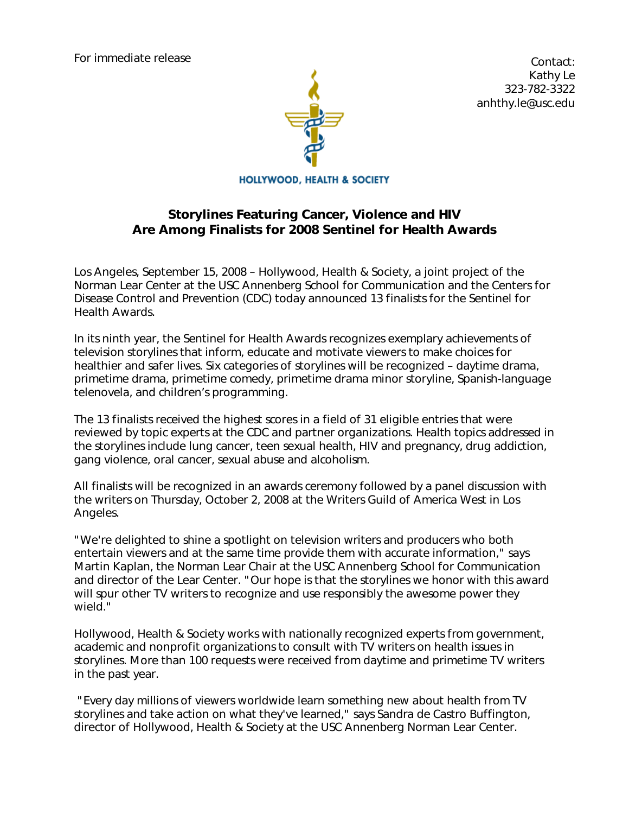For immediate release



 Contact: Kathy Le 323-782-3322 anhthy.le@usc.edu

**HOLLYWOOD, HEALTH & SOCIETY** 

# *Storylines Featuring Cancer, Violence and HIV Are Among Finalists for 2008 Sentinel for Health Awards*

Los Angeles, September 15, 2008 – Hollywood, Health & Society, a joint project of the Norman Lear Center at the USC Annenberg School for Communication and the Centers for Disease Control and Prevention (CDC) today announced 13 finalists for the Sentinel for Health Awards.

In its ninth year, the Sentinel for Health Awards recognizes exemplary achievements of television storylines that inform, educate and motivate viewers to make choices for healthier and safer lives. Six categories of storylines will be recognized – daytime drama, primetime drama, primetime comedy, primetime drama minor storyline, Spanish-language *telenovela*, and children's programming.

The 13 finalists received the highest scores in a field of 31 eligible entries that were reviewed by topic experts at the CDC and partner organizations. Health topics addressed in the storylines include lung cancer, teen sexual health, HIV and pregnancy, drug addiction, gang violence, oral cancer, sexual abuse and alcoholism.

All finalists will be recognized in an awards ceremony followed by a panel discussion with the writers on Thursday, October 2, 2008 at the Writers Guild of America West in Los Angeles.

"We're delighted to shine a spotlight on television writers and producers who both entertain viewers and at the same time provide them with accurate information," says Martin Kaplan, the Norman Lear Chair at the USC Annenberg School for Communication and director of the Lear Center. "Our hope is that the storylines we honor with this award will spur other TV writers to recognize and use responsibly the awesome power they wield."

Hollywood, Health & Society works with nationally recognized experts from government, academic and nonprofit organizations to consult with TV writers on health issues in storylines. More than 100 requests were received from daytime and primetime TV writers in the past year.

 "Every day millions of viewers worldwide learn something new about health from TV storylines and take action on what they've learned," says Sandra de Castro Buffington, director of Hollywood, Health & Society at the USC Annenberg Norman Lear Center.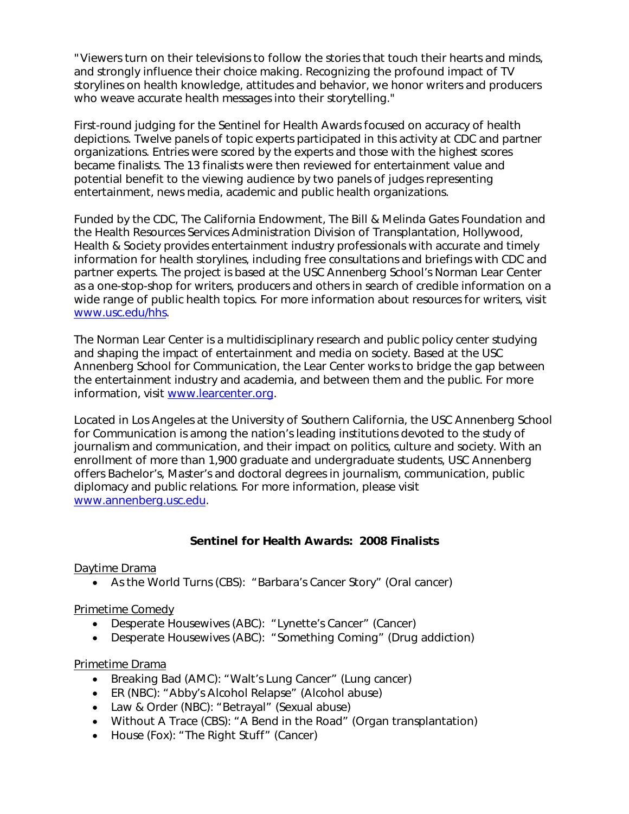"Viewers turn on their televisions to follow the stories that touch their hearts and minds, and strongly influence their choice making. Recognizing the profound impact of TV storylines on health knowledge, attitudes and behavior, we honor writers and producers who weave accurate health messages into their storytelling."

First-round judging for the Sentinel for Health Awards focused on accuracy of health depictions. Twelve panels of topic experts participated in this activity at CDC and partner organizations. Entries were scored by the experts and those with the highest scores became finalists. The 13 finalists were then reviewed for entertainment value and potential benefit to the viewing audience by two panels of judges representing entertainment, news media, academic and public health organizations.

Funded by the CDC, The California Endowment, The Bill & Melinda Gates Foundation and the Health Resources Services Administration Division of Transplantation, Hollywood, Health & Society provides entertainment industry professionals with accurate and timely information for health storylines, including free consultations and briefings with CDC and partner experts. The project is based at the USC Annenberg School's Norman Lear Center as a one-stop-shop for writers, producers and others in search of credible information on a wide range of public health topics. For more information about resources for writers, visit www.usc.edu/hhs.

The Norman Lear Center is a multidisciplinary research and public policy center studying and shaping the impact of entertainment and media on society. Based at the USC Annenberg School for Communication, the Lear Center works to bridge the gap between the entertainment industry and academia, and between them and the public. For more information, visit www.learcenter.org.

Located in Los Angeles at the University of Southern California, the USC Annenberg School for Communication is among the nation's leading institutions devoted to the study of journalism and communication, and their impact on politics, culture and society. With an enrollment of more than 1,900 graduate and undergraduate students, USC Annenberg offers Bachelor's, Master's and doctoral degrees in journalism, communication, public diplomacy and public relations. For more information, please visit www.annenberg.usc.edu.

## *Sentinel for Health Awards: 2008 Finalists*

## Daytime Drama

• *As the World Turns* (CBS): "Barbara's Cancer Story" (Oral cancer)

## Primetime Comedy

- *Desperate Housewives* (ABC): "Lynette's Cancer" (Cancer)
- *Desperate Housewives* (ABC): "Something Coming" (Drug addiction)

### Primetime Drama

- *Breaking Bad* (AMC): "Walt's Lung Cancer" (Lung cancer)
- *ER* (NBC): "Abby's Alcohol Relapse" (Alcohol abuse)
- *Law & Order* (NBC): "Betrayal" (Sexual abuse)
- *Without A Trace* (CBS): "A Bend in the Road" (Organ transplantation)
- *House* (Fox): "The Right Stuff" (Cancer)